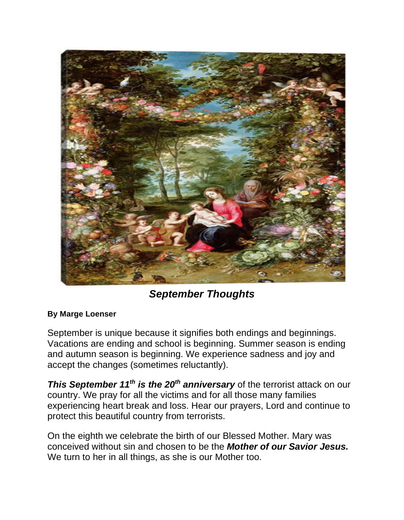

*September Thoughts* 

## **By Marge Loenser**

September is unique because it signifies both endings and beginnings. Vacations are ending and school is beginning. Summer season is ending and autumn season is beginning. We experience sadness and joy and accept the changes (sometimes reluctantly).

**This September 11<sup>th</sup> is the 20<sup>th</sup> anniversary** of the terrorist attack on our country. We pray for all the victims and for all those many families experiencing heart break and loss. Hear our prayers, Lord and continue to protect this beautiful country from terrorists.

On the eighth we celebrate the birth of our Blessed Mother. Mary was conceived without sin and chosen to be the *Mother of our Savior Jesus.* We turn to her in all things, as she is our Mother too.